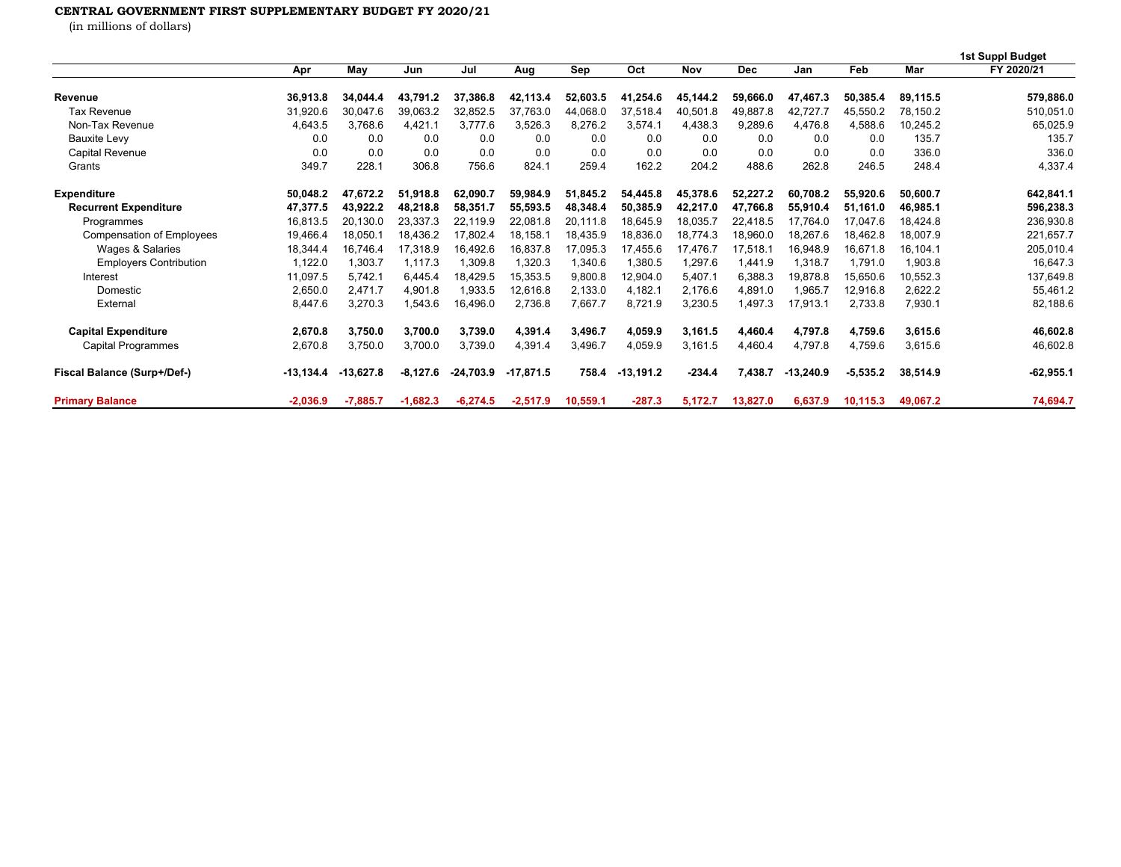## **CENTRAL GOVERNMENT FIRST SUPPLEMENTARY BUDGET FY 2020/21**

(in millions of dollars)

|                                  |             |             |            |             |             |          |             |          |            |             |            |          | 1st Suppl Budget |
|----------------------------------|-------------|-------------|------------|-------------|-------------|----------|-------------|----------|------------|-------------|------------|----------|------------------|
|                                  | Apr         | May         | Jun        | Jul         | Aug         | Sep      | Oct         | Nov      | <b>Dec</b> | Jan         | Feb        | Mar      | FY 2020/21       |
| Revenue                          | 36,913.8    | 34.044.4    | 43,791.2   | 37,386.8    | 42,113.4    | 52,603.5 | 41,254.6    | 45,144.2 | 59,666.0   | 47,467.3    | 50,385.4   | 89,115.5 | 579,886.0        |
| Tax Revenue                      | 31,920.6    | 30,047.6    | 39,063.2   | 32,852.5    | 37,763.0    | 44,068.0 | 37,518.4    | 40,501.8 | 49,887.8   | 42,727.7    | 45,550.2   | 78,150.2 | 510,051.0        |
| Non-Tax Revenue                  | 4,643.5     | 3,768.6     | 4,421.1    | 3,777.6     | 3,526.3     | 8,276.2  | 3,574.1     | 4,438.3  | 9,289.6    | 4,476.8     | 4,588.6    | 10,245.2 | 65,025.9         |
| <b>Bauxite Levy</b>              | 0.0         | 0.0         | 0.0        | 0.0         | 0.0         | 0.0      | 0.0         | 0.0      | 0.0        | 0.0         | 0.0        | 135.7    | 135.7            |
| Capital Revenue                  | 0.0         | 0.0         | 0.0        | 0.0         | 0.0         | 0.0      | 0.0         | 0.0      | 0.0        | 0.0         | 0.0        | 336.0    | 336.0            |
| Grants                           | 349.7       | 228.1       | 306.8      | 756.6       | 824.1       | 259.4    | 162.2       | 204.2    | 488.6      | 262.8       | 246.5      | 248.4    | 4,337.4          |
| <b>Expenditure</b>               | 50,048.2    | 47,672.2    | 51.918.8   | 62,090.7    | 59,984.9    | 51,845.2 | 54,445.8    | 45,378.6 | 52,227.2   | 60,708.2    | 55,920.6   | 50,600.7 | 642,841.1        |
| <b>Recurrent Expenditure</b>     | 47,377.5    | 43,922.2    | 48,218.8   | 58.351.7    | 55.593.5    | 48,348.4 | 50,385.9    | 42,217.0 | 47,766.8   | 55.910.4    | 51.161.0   | 46,985.1 | 596,238.3        |
| Programmes                       | 16,813.5    | 20.130.0    | 23,337.3   | 22,119.9    | 22,081.8    | 20,111.8 | 18,645.9    | 18,035.7 | 22,418.5   | 17,764.0    | 17,047.6   | 18,424.8 | 236,930.8        |
| <b>Compensation of Employees</b> | 19,466.4    | 18,050.1    | 18,436.2   | 17,802.4    | 18,158.1    | 18,435.9 | 18,836.0    | 18,774.3 | 18,960.0   | 18,267.6    | 18,462.8   | 18,007.9 | 221,657.7        |
| Wages & Salaries                 | 18,344.4    | 16,746.4    | 17,318.9   | 16,492.6    | 16,837.8    | 17,095.3 | 17,455.6    | 17,476.7 | 17,518.1   | 16,948.9    | 16,671.8   | 16,104.1 | 205,010.4        |
| <b>Employers Contribution</b>    | 1,122.0     | 1,303.7     | 1,117.3    | 1,309.8     | 1,320.3     | 1,340.6  | 1,380.5     | 1,297.6  | 1,441.9    | 1,318.7     | 1,791.0    | 1,903.8  | 16,647.3         |
| Interest                         | 11,097.5    | 5,742.1     | 6,445.4    | 18,429.5    | 15,353.5    | 9,800.8  | 12,904.0    | 5,407.1  | 6,388.3    | 19,878.8    | 15,650.6   | 10,552.3 | 137,649.8        |
| Domestic                         | 2.650.0     | 2,471.7     | 4,901.8    | 1,933.5     | 12,616.8    | 2,133.0  | 4,182.1     | 2,176.6  | 4,891.0    | 1.965.7     | 12.916.8   | 2,622.2  | 55,461.2         |
| External                         | 8,447.6     | 3,270.3     | 1,543.6    | 16,496.0    | 2,736.8     | 7,667.7  | 8,721.9     | 3,230.5  | 1,497.3    | 17,913.1    | 2,733.8    | 7,930.1  | 82,188.6         |
| <b>Capital Expenditure</b>       | 2,670.8     | 3,750.0     | 3,700.0    | 3,739.0     | 4,391.4     | 3,496.7  | 4,059.9     | 3,161.5  | 4,460.4    | 4,797.8     | 4,759.6    | 3,615.6  | 46,602.8         |
| <b>Capital Programmes</b>        | 2,670.8     | 3,750.0     | 3,700.0    | 3,739.0     | 4,391.4     | 3,496.7  | 4,059.9     | 3,161.5  | 4,460.4    | 4,797.8     | 4,759.6    | 3,615.6  | 46,602.8         |
| Fiscal Balance (Surp+/Def-)      | $-13,134.4$ | $-13,627.8$ | $-8,127.6$ | $-24,703.9$ | $-17,871.5$ | 758.4    | $-13,191.2$ | $-234.4$ | 7,438.7    | $-13,240.9$ | $-5,535.2$ | 38,514.9 | $-62,955.1$      |
| <b>Primary Balance</b>           | $-2,036.9$  | $-7,885.7$  | $-1,682.3$ | $-6,274.5$  | $-2,517.9$  | 10,559.1 | $-287.3$    | 5.172.7  | 13,827.0   | 6,637.9     | 10.115.3   | 49,067.2 | 74,694.7         |